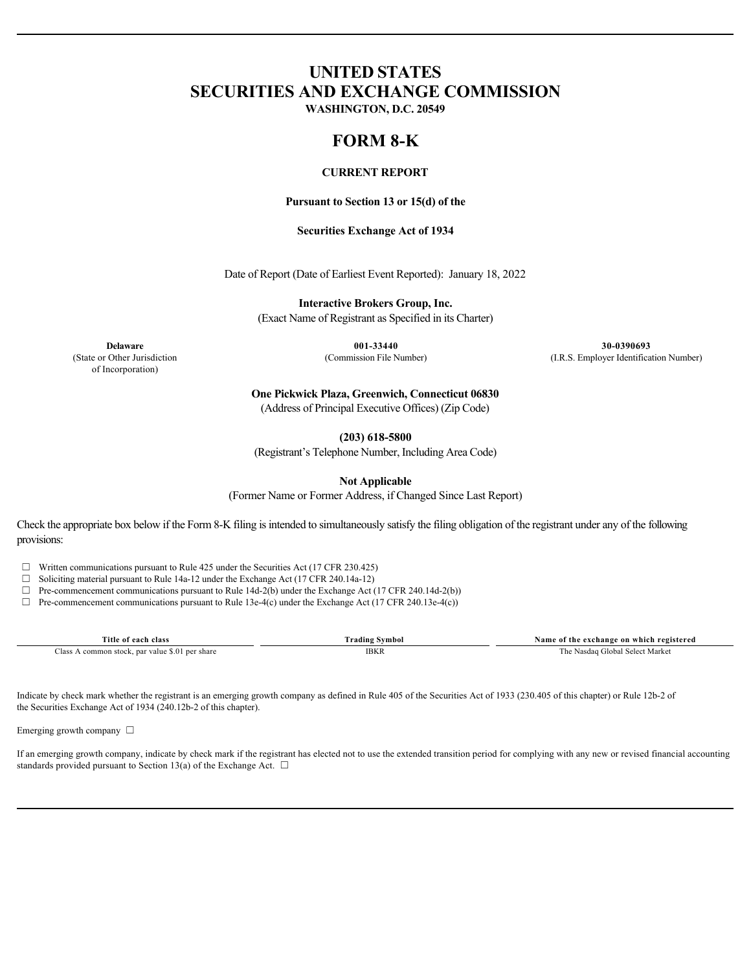# **UNITED STATES SECURITIES AND EXCHANGE COMMISSION**

**WASHINGTON, D.C. 20549**

# **FORM 8-K**

### **CURRENT REPORT**

#### **Pursuant to Section 13 or 15(d) of the**

#### **Securities Exchange Act of 1934**

Date of Report (Date of Earliest Event Reported): January 18, 2022

**Interactive Brokers Group, Inc.**

(Exact Name of Registrant as Specified in its Charter)

(State or Other Jurisdiction of Incorporation)

**Delaware 001-33440 30-0390693** (Commission File Number) (I.R.S. Employer Identification Number)

> **One Pickwick Plaza, Greenwich, Connecticut 06830** (Address of Principal Executive Offices) (Zip Code)

> > **(203) 618-5800**

(Registrant's Telephone Number, Including Area Code)

**Not Applicable**

(Former Name or Former Address, if Changed Since Last Report)

Check the appropriate box below if the Form 8-K filing is intended to simultaneously satisfy the filing obligation of the registrant under any of the following provisions:

 $\Box$  Written communications pursuant to Rule 425 under the Securities Act (17 CFR 230.425)

☐ Soliciting material pursuant to Rule 14a-12 under the Exchange Act (17 CFR 240.14a-12)

 $\Box$  Pre-commencement communications pursuant to Rule 14d-2(b) under the Exchange Act (17 CFR 240.14d-2(b))

 $\Box$  Pre-commencement communications pursuant to Rule 13e-4(c) under the Exchange Act (17 CFR 240.13e-4(c))

| `itle<br>class<br>-905<br>-01                                      | Symbo.<br>rading | Nam<br>registered<br>on which<br>exchange<br>the |
|--------------------------------------------------------------------|------------------|--------------------------------------------------|
| $\cap$ lass<br>imon stock.<br>per share<br>220<br>∵ value<br>. U I | <b>IBKR</b>      | Marke<br>. ne<br>Nasda<br>Salact<br>u Criobati   |

Indicate by check mark whether the registrant is an emerging growth company as defined in Rule 405 of the Securities Act of 1933 (230.405 of this chapter) or Rule 12b-2 of the Securities Exchange Act of 1934 (240.12b-2 of this chapter).

Emerging growth company ☐

If an emerging growth company, indicate by check mark if the registrant has elected not to use the extended transition period for complying with any new or revised financial accounting standards provided pursuant to Section 13(a) of the Exchange Act.  $\Box$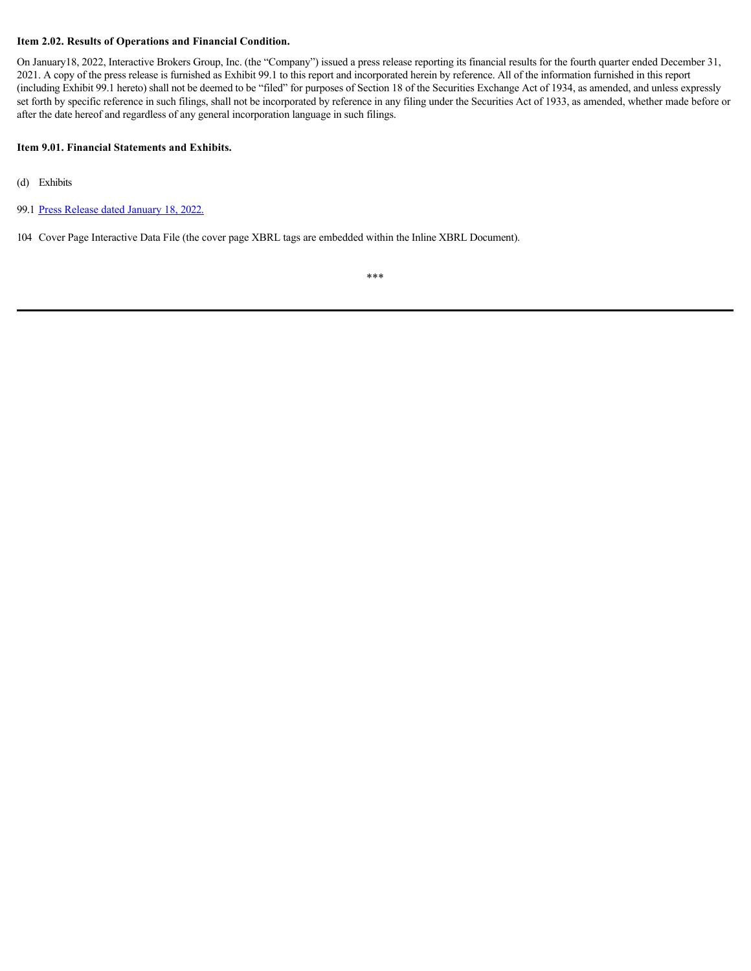#### **Item 2.02. Results of Operations and Financial Condition.**

On January18, 2022, Interactive Brokers Group, Inc. (the "Company") issued a press release reporting its financial results for the fourth quarter ended December 31, 2021. A copy of the press release is furnished as Exhibit 99.1 to this report and incorporated herein by reference. All of the information furnished in this report (including Exhibit 99.1 hereto) shall not be deemed to be "filed" for purposes of Section 18 of the Securities Exchange Act of 1934, as amended, and unless expressly set forth by specific reference in such filings, shall not be incorporated by reference in any filing under the Securities Act of 1933, as amended, whether made before or after the date hereof and regardless of any general incorporation language in such filings.

#### **Item 9.01. Financial Statements and Exhibits.**

- (d) Exhibits
- 99.1 [Press Release dated January 18, 2022.](file:///C:/Users/rbussiere/AppData/Local/Temp/PROfile/rccu4riq.vdj/expand/content/ibkr-8k_20211231er.htm)

104 Cover Page Interactive Data File (the cover page XBRL tags are embedded within the Inline XBRL Document).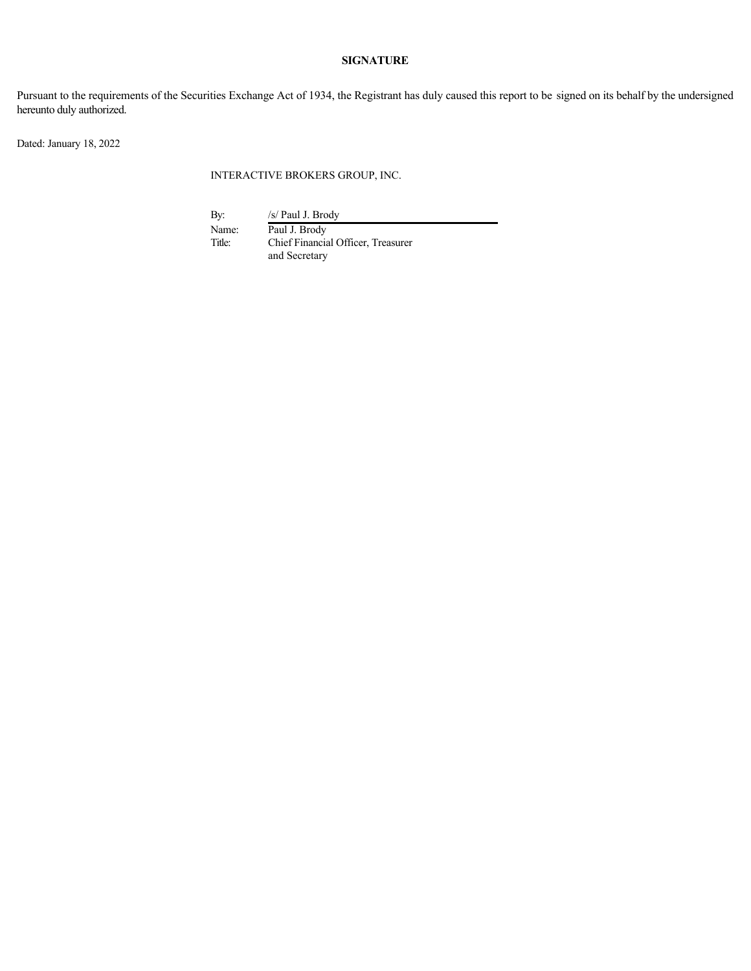### **SIGNATURE**

Pursuant to the requirements of the Securities Exchange Act of 1934, the Registrant has duly caused this report to be signed on its behalf by the undersigned hereunto duly authorized.

Dated: January 18, 2022

### INTERACTIVE BROKERS GROUP, INC.

By: /s/ Paul J. Brody Name: Paul J. Brody<br>Title: Chief Financia Chief Financial Officer, Treasurer and Secretary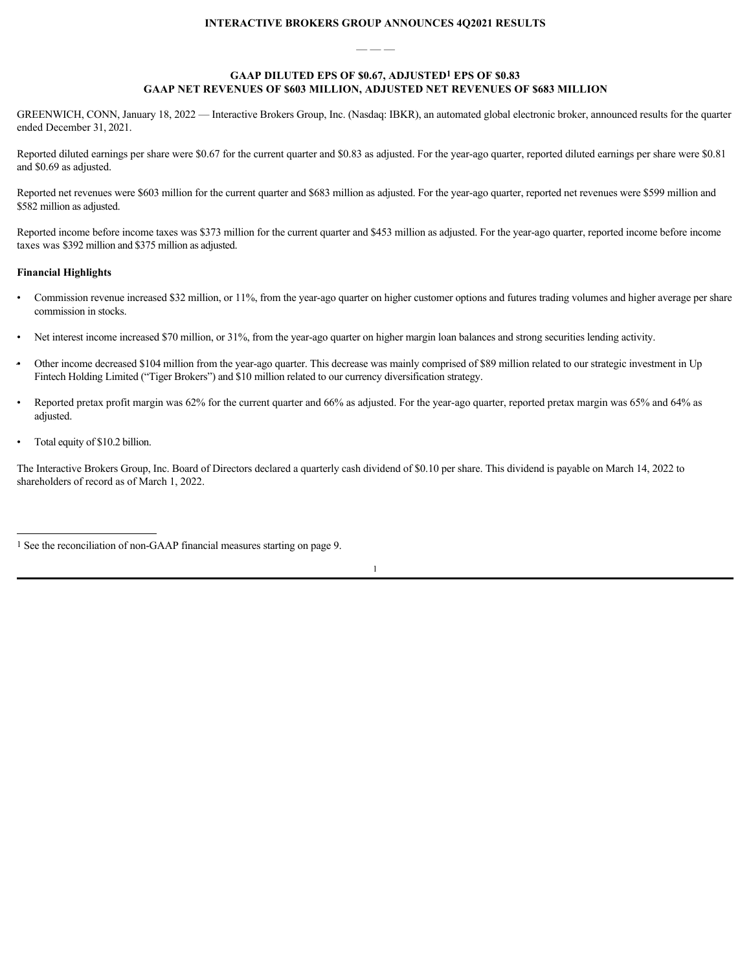#### **INTERACTIVE BROKERS GROUP ANNOUNCES 4Q2021 RESULTS**

— — —

### **GAAP DILUTED EPS OF \$0.67, ADJUSTED1 EPS OF \$0.83 GAAP NET REVENUES OF \$603 MILLION, ADJUSTED NET REVENUES OF \$683 MILLION**

GREENWICH, CONN, January 18, 2022 — Interactive Brokers Group, Inc. (Nasdaq: IBKR), an automated global electronic broker, announced results for the quarter ended December 31, 2021.

Reported diluted earnings per share were \$0.67 for the current quarter and \$0.83 as adjusted. For the year-ago quarter, reported diluted earnings per share were \$0.81 and \$0.69 as adjusted.

Reported net revenues were \$603 million for the current quarter and \$683 million as adjusted. For the year-ago quarter, reported net revenues were \$599 million and \$582 million as adjusted.

Reported income before income taxes was \$373 million for the current quarter and \$453 million as adjusted. For the year-ago quarter, reported income before income taxes was \$392 million and \$375 million as adjusted.

#### **Financial Highlights**

- Commission revenue increased \$32 million, or 11%, from the year-ago quarter on higher customer options and futures trading volumes and higher average per share commission in stocks.
- Net interest income increased \$70 million, or 31%, from the year-ago quarter on higher margin loan balances and strong securities lending activity.
- Other income decreased \$104 million from the year-ago quarter. This decrease was mainly comprised of \$89 million related to our strategic investment in Up Fintech Holding Limited ("Tiger Brokers") and \$10 million related to our currency diversification strategy.
- Reported pretax profit margin was 62% for the current quarter and 66% as adjusted. For the year-ago quarter, reported pretax margin was 65% and 64% as adjusted.
- Total equity of \$10.2 billion.

The Interactive Brokers Group, Inc. Board of Directors declared a quarterly cash dividend of \$0.10 per share. This dividend is payable on March 14, 2022 to shareholders of record as of March 1, 2022.

<sup>1</sup> See the reconciliation of non-GAAP financial measures starting on page 9.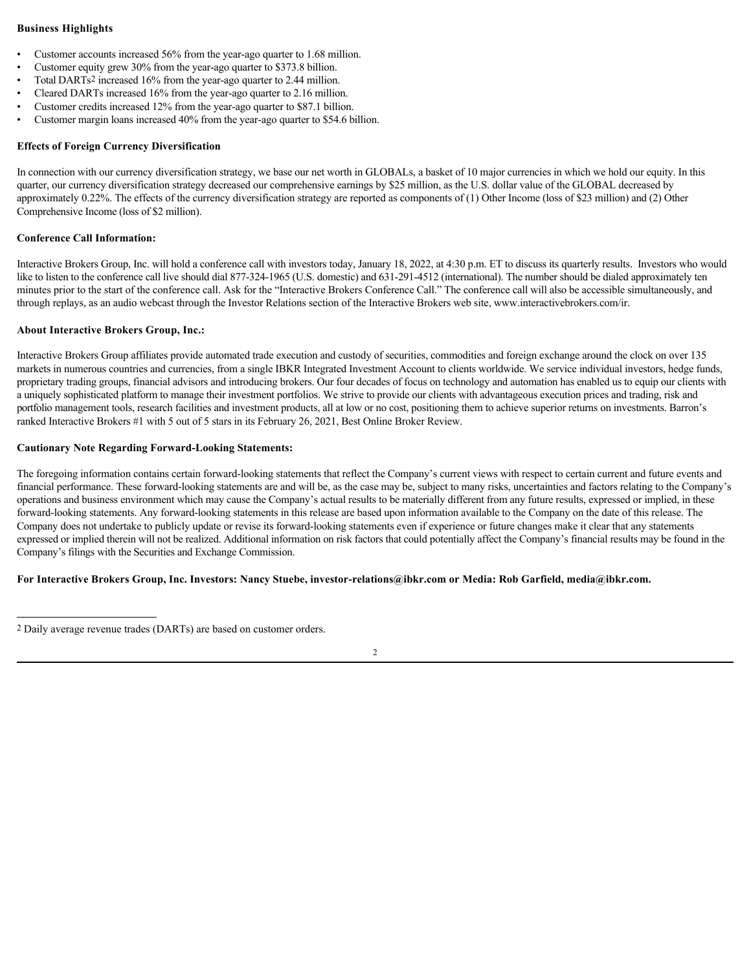#### **Business Highlights**

- Customer accounts increased 56% from the year-ago quarter to 1.68 million.
- Customer equity grew 30% from the year-ago quarter to \$373.8 billion.
- Total DARTs2 increased 16% from the year-ago quarter to 2.44 million.
- Cleared DARTs increased 16% from the year-ago quarter to 2.16 million.
- Customer credits increased 12% from the year-ago quarter to \$87.1 billion.
- Customer margin loans increased 40% from the year-ago quarter to \$54.6 billion.

# **Effects of Foreign Currency Diversification**

In connection with our currency diversification strategy, we base our net worth in GLOBALs, a basket of 10 major currencies in which we hold our equity. In this quarter, our currency diversification strategy decreased our comprehensive earnings by \$25 million, as the U.S. dollar value of the GLOBAL decreased by approximately 0.22%. The effects of the currency diversification strategy are reported as components of (1) Other Income (loss of \$23 million) and (2) Other Comprehensive Income (loss of \$2 million).

# **Conference Call Information:**

Interactive Brokers Group, Inc. will hold a conference call with investors today, January 18, 2022, at 4:30 p.m. ET to discuss its quarterly results. Investors who would like to listen to the conference call live should dial 877-324-1965 (U.S. domestic) and 631-291-4512 (international). The number should be dialed approximately ten minutes prior to the start of the conference call. Ask for the "Interactive Brokers Conference Call." The conference call will also be accessible simultaneously, and through replays, as an audio webcast through the Investor Relations section of the Interactive Brokers web site, www.interactivebrokers.com/ir.

# **About Interactive Brokers Group, Inc.:**

Interactive Brokers Group affiliates provide automated trade execution and custody of securities, commodities and foreign exchange around the clock on over 135 markets in numerous countries and currencies, from a single IBKR Integrated Investment Account to clients worldwide. We service individual investors, hedge funds, proprietary trading groups, financial advisors and introducing brokers. Our four decades of focus on technology and automation has enabled us to equip our clients with a uniquely sophisticated platform to manage their investment portfolios. We strive to provide our clients with advantageous execution prices and trading, risk and portfolio management tools, research facilities and investment products, all at low or no cost, positioning them to achieve superior returns on investments. Barron's ranked Interactive Brokers #1 with 5 out of 5 stars in its February 26, 2021, Best Online Broker Review.

# **Cautionary Note Regarding Forward-Looking Statements:**

The foregoing information contains certain forward-looking statements that reflect the Company's current views with respect to certain current and future events and financial performance. These forward-looking statements are and will be, as the case may be, subject to many risks, uncertainties and factors relating to the Company's operations and business environment which may cause the Company's actual results to be materially different from any future results, expressed or implied, in these forward-looking statements. Any forward-looking statements in this release are based upon information available to the Company on the date of this release. The Company does not undertake to publicly update or revise its forward-looking statements even if experience or future changes make it clear that any statements expressed or implied therein will not be realized. Additional information on risk factors that could potentially affect the Company's financial results may be found in the Company's filings with the Securities and Exchange Commission.

# **For Interactive Brokers Group, Inc. Investors: Nancy Stuebe, investor-relations@ibkr.com or Media: Rob Garfield, media@ibkr.com.**

 $\overline{2}$ 

<sup>2</sup> Daily average revenue trades (DARTs) are based on customer orders.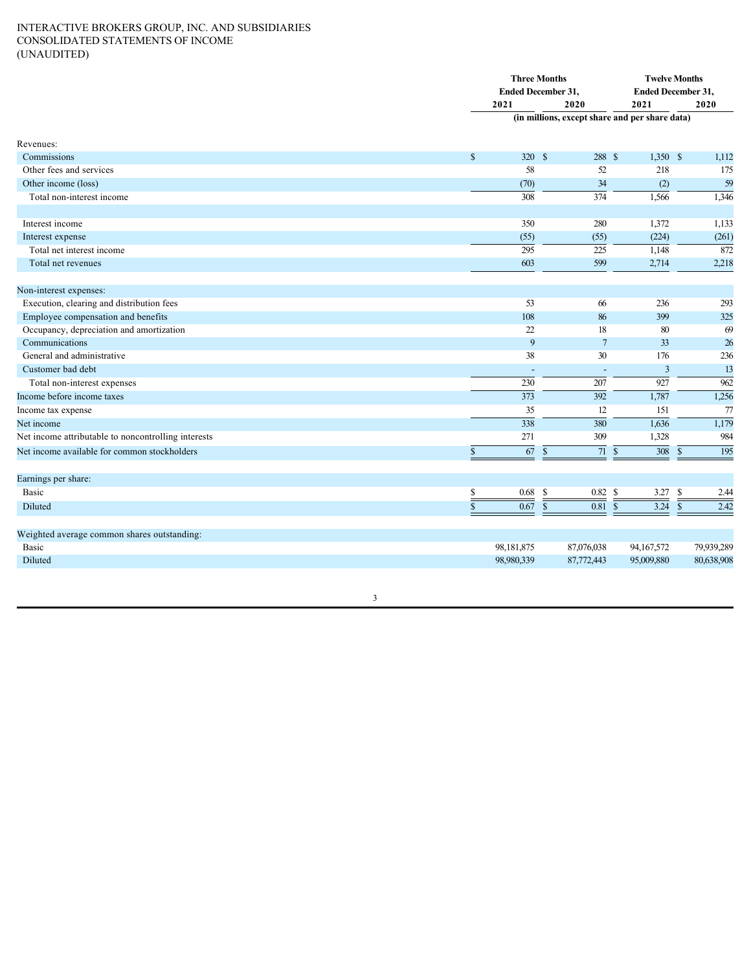### INTERACTIVE BROKERS GROUP, INC. AND SUBSIDIARIES CONSOLIDATED STATEMENTS OF INCOME (UNAUDITED)

|                                                     |               | <b>Three Months</b><br><b>Ended December 31,</b> |                                      |                                                        | <b>Twelve Months</b><br><b>Ended December 31,</b> |  |  |
|-----------------------------------------------------|---------------|--------------------------------------------------|--------------------------------------|--------------------------------------------------------|---------------------------------------------------|--|--|
|                                                     |               | 2021<br>2020                                     |                                      |                                                        | 2020                                              |  |  |
|                                                     |               |                                                  |                                      | 2021<br>(in millions, except share and per share data) |                                                   |  |  |
| Revenues:                                           |               |                                                  |                                      |                                                        |                                                   |  |  |
| Commissions                                         | $\mathbb{S}$  | 320 \$                                           | 288 \$                               | $1,350$ \$                                             | 1,112                                             |  |  |
| Other fees and services                             |               | 58                                               | 52                                   | 218                                                    | 175                                               |  |  |
| Other income (loss)                                 |               | (70)                                             | 34                                   | (2)                                                    | 59                                                |  |  |
| Total non-interest income                           |               | 308                                              | $\overline{374}$                     | 1,566                                                  | 1,346                                             |  |  |
| Interest income                                     |               | 350                                              | 280                                  | 1,372                                                  | 1,133                                             |  |  |
| Interest expense                                    |               | (55)                                             | (55)                                 | (224)                                                  | (261)                                             |  |  |
| Total net interest income                           |               | 295                                              | $\overline{225}$                     | 1,148                                                  | 872                                               |  |  |
| Total net revenues                                  |               | 603                                              | 599                                  | 2,714                                                  | 2,218                                             |  |  |
| Non-interest expenses:                              |               |                                                  |                                      |                                                        |                                                   |  |  |
| Execution, clearing and distribution fees           |               | 53                                               | 66                                   | 236                                                    | 293                                               |  |  |
| Employee compensation and benefits                  |               | 108                                              | 86                                   | 399                                                    | 325                                               |  |  |
| Occupancy, depreciation and amortization            |               | 22                                               | 18                                   | 80                                                     | 69                                                |  |  |
| Communications                                      |               | 9                                                | $\overline{7}$                       | 33                                                     | 26                                                |  |  |
| General and administrative                          |               | 38                                               | 30                                   | 176                                                    | 236                                               |  |  |
| Customer bad debt                                   |               |                                                  | $\overline{a}$                       | $\overline{\mathbf{3}}$                                | 13                                                |  |  |
| Total non-interest expenses                         |               | 230                                              | 207                                  | 927                                                    | 962                                               |  |  |
| Income before income taxes                          |               | $\frac{1}{373}$                                  | $\overline{392}$                     | 1,787                                                  | 1,256                                             |  |  |
| Income tax expense                                  |               | 35                                               | 12                                   | 151                                                    | 77                                                |  |  |
| Net income                                          |               | 338                                              | 380                                  | 1,636                                                  | 1,179                                             |  |  |
| Net income attributable to noncontrolling interests |               | 271                                              | 309                                  | 1,328                                                  | 984                                               |  |  |
| Net income available for common stockholders        | \$            | 67                                               | 71S<br>$\mathbb{S}$                  | 308 \$                                                 | $\frac{195}{2}$                                   |  |  |
| Earnings per share:                                 |               |                                                  |                                      |                                                        |                                                   |  |  |
| Basic                                               | \$            | $0.68$ \$                                        | 0.82 S                               | 3.27                                                   | 2.44<br>\$                                        |  |  |
| Diluted                                             | $\frac{1}{3}$ | 0.67                                             | $\overline{0.81}$ \$<br>$\mathbb{S}$ | 3.24                                                   | 2.42<br>$\mathbf S$                               |  |  |
| Weighted average common shares outstanding:         |               |                                                  |                                      |                                                        |                                                   |  |  |
| Basic                                               |               | 98,181,875                                       | 87,076,038                           | 94,167,572                                             | 79,939,289                                        |  |  |
| Diluted                                             |               | 98,980,339                                       | 87,772,443                           | 95,009,880                                             | 80,638,908                                        |  |  |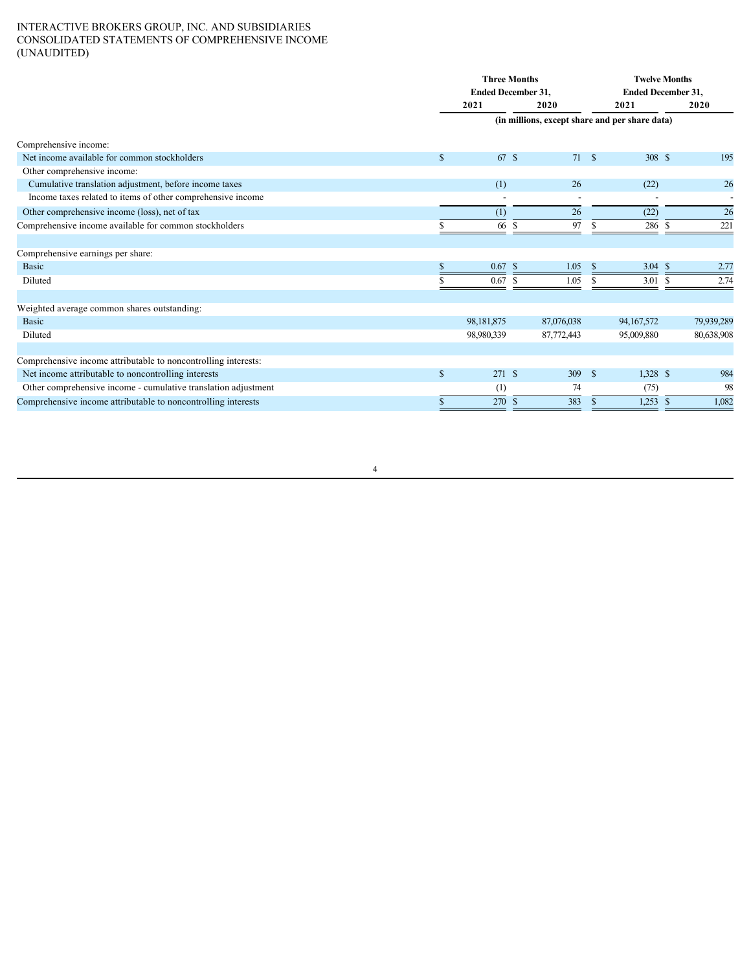### INTERACTIVE BROKERS GROUP, INC. AND SUBSIDIARIES CONSOLIDATED STATEMENTS OF COMPREHENSIVE INCOME (UNAUDITED)

|                                                                | <b>Three Months</b><br><b>Ended December 31,</b> |                    |    | <b>Twelve Months</b> |                           |                                                |    |            |
|----------------------------------------------------------------|--------------------------------------------------|--------------------|----|----------------------|---------------------------|------------------------------------------------|----|------------|
|                                                                |                                                  |                    |    |                      | <b>Ended December 31,</b> |                                                |    |            |
|                                                                |                                                  | 2021               |    | 2020                 | 2021<br>2020              |                                                |    |            |
|                                                                |                                                  |                    |    |                      |                           | (in millions, except share and per share data) |    |            |
| Comprehensive income:                                          |                                                  |                    |    |                      |                           |                                                |    |            |
| Net income available for common stockholders                   | \$                                               | 67 \$              |    | 71S                  |                           | 308 \$                                         |    | 195        |
| Other comprehensive income:                                    |                                                  |                    |    |                      |                           |                                                |    |            |
| Cumulative translation adjustment, before income taxes         |                                                  | (1)                |    | 26                   |                           | (22)                                           |    | 26         |
| Income taxes related to items of other comprehensive income    |                                                  |                    |    | $\overline{a}$       |                           |                                                |    |            |
| Other comprehensive income (loss), net of tax                  |                                                  | (1)                |    | 26                   |                           | (22)                                           |    | 26         |
| Comprehensive income available for common stockholders         |                                                  | 66                 | -S | 97                   | S.                        | 286 \$                                         |    | 221        |
| Comprehensive earnings per share:                              |                                                  |                    |    |                      |                           |                                                |    |            |
| <b>Basic</b>                                                   | \$                                               | $0.67 \text{ }$ \$ |    | 1.05                 | <sup>\$</sup>             | $3.04 \text{ } $s$                             |    | 2.77       |
| Diluted                                                        |                                                  | 0.67               |    | 1.05                 |                           | 3.01                                           |    | 2.74       |
| Weighted average common shares outstanding:                    |                                                  |                    |    |                      |                           |                                                |    |            |
| <b>Basic</b>                                                   |                                                  | 98,181,875         |    | 87,076,038           |                           | 94,167,572                                     |    | 79,939,289 |
| Diluted                                                        |                                                  | 98,980,339         |    | 87,772,443           |                           | 95,009,880                                     |    | 80,638,908 |
| Comprehensive income attributable to noncontrolling interests: |                                                  |                    |    |                      |                           |                                                |    |            |
| Net income attributable to noncontrolling interests            | \$                                               | 271S               |    | 309                  | <sup>\$</sup>             | 1,328 \$                                       |    | 984        |
| Other comprehensive income - cumulative translation adjustment |                                                  | (1)                |    | 74                   |                           | (75)                                           |    | 98         |
| Comprehensive income attributable to noncontrolling interests  | S                                                | 270                | -8 | 383                  | Ÿ.                        | 1,253                                          | -8 | 1,082      |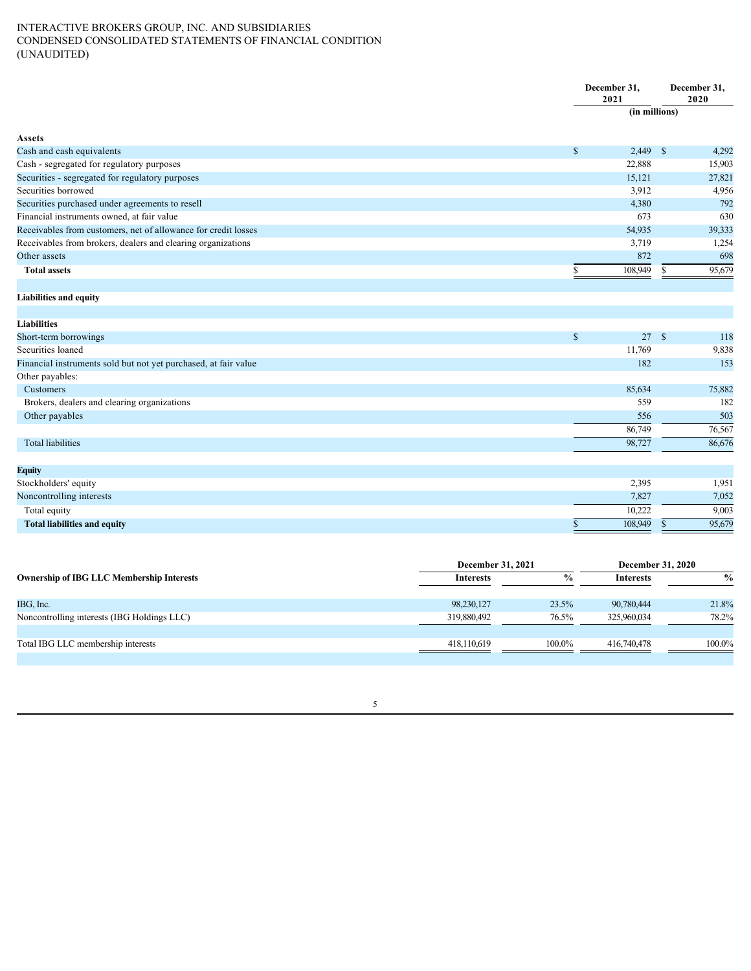### INTERACTIVE BROKERS GROUP, INC. AND SUBSIDIARIES CONDENSED CONSOLIDATED STATEMENTS OF FINANCIAL CONDITION (UNAUDITED)

|                                                                 | December 31,<br>2021 | December 31,<br>2020 |
|-----------------------------------------------------------------|----------------------|----------------------|
|                                                                 |                      | (in millions)        |
| <b>Assets</b>                                                   |                      |                      |
| Cash and cash equivalents                                       | $\mathsf{\$}$        | $2,449$ \$<br>4,292  |
| Cash - segregated for regulatory purposes                       | 22,888               | 15,903               |
| Securities - segregated for regulatory purposes                 | 15,121               | 27,821               |
| Securities borrowed                                             | 3,912                | 4,956                |
| Securities purchased under agreements to resell                 | 4,380                | 792                  |
| Financial instruments owned, at fair value                      |                      | 630<br>673           |
| Receivables from customers, net of allowance for credit losses  | 54,935               | 39,333               |
| Receivables from brokers, dealers and clearing organizations    | 3,719                | 1,254                |
| Other assets                                                    |                      | 698<br>872           |
| <b>Total assets</b>                                             | 108,949<br>\$.       | 95,679<br>\$         |
| Liabilities and equity                                          |                      |                      |
| <b>Liabilities</b>                                              |                      |                      |
| Short-term borrowings                                           | $\mathsf{\$}$        | 27<br>-S<br>118      |
| Securities loaned                                               | 11,769               | 9,838                |
| Financial instruments sold but not yet purchased, at fair value |                      | 182<br>153           |
| Other payables:                                                 |                      |                      |
| <b>Customers</b>                                                | 85,634               | 75,882               |
| Brokers, dealers and clearing organizations                     |                      | 182<br>559           |
| Other payables                                                  |                      | 503<br>556           |
|                                                                 | 86,749               | 76,567               |

| Total liabilities                   | 98,727  | 86,676 |
|-------------------------------------|---------|--------|
|                                     |         |        |
| <b>Equity</b>                       |         |        |
| Stockholders' equity                | 2,395   | 1,951  |
| Noncontrolling interests            | 7,827   | 7,052  |
| Total equity                        | 10,222  | 9,003  |
| <b>Total liabilities and equity</b> | 108,949 | 95,679 |

|                                                  |                  | <b>December 31, 2021</b> |                  |               |  |
|--------------------------------------------------|------------------|--------------------------|------------------|---------------|--|
| <b>Ownership of IBG LLC Membership Interests</b> | <b>Interests</b> | $\frac{0}{0}$            | <b>Interests</b> | $\frac{0}{0}$ |  |
|                                                  |                  |                          |                  |               |  |
| IBG, Inc.                                        | 98,230,127       | 23.5%                    | 90,780,444       | 21.8%         |  |
| Noncontrolling interests (IBG Holdings LLC)      | 319,880,492      | 76.5%                    | 325,960,034      | 78.2%         |  |
|                                                  |                  |                          |                  |               |  |
| Total IBG LLC membership interests               | 418,110,619      | 100.0%                   | 416,740,478      | 100.0%        |  |
|                                                  |                  |                          |                  |               |  |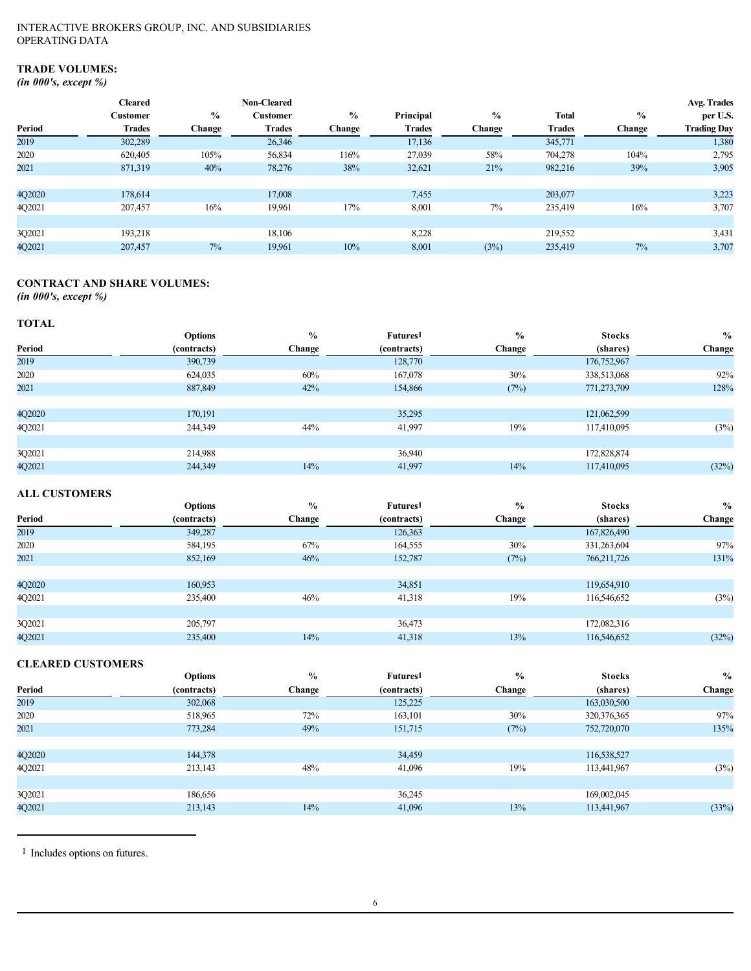### INTERACTIVE BROKERS GROUP, INC. AND SUBSIDIARIES OPERATING DATA

# **TRADE VOLUMES:**

*(in 000's, except %)*

|        | <b>Cleared</b>  |               | <b>Non-Cleared</b> |               |           |               |               |               | Avg. Trades        |
|--------|-----------------|---------------|--------------------|---------------|-----------|---------------|---------------|---------------|--------------------|
|        | <b>Customer</b> | $\frac{6}{9}$ | Customer           | $\frac{0}{0}$ | Principal | $\frac{0}{0}$ | Total         | $\frac{1}{2}$ | per U.S.           |
| Period | <b>Trades</b>   | <b>Change</b> | <b>Trades</b>      | Change        | Trades    | Change        | <b>Trades</b> | Change        | <b>Trading Day</b> |
| 2019   | 302,289         |               | 26,346             |               | 17,136    |               | 345,771       |               | 1,380              |
| 2020   | 620,405         | 105%          | 56,834             | 116%          | 27,039    | 58%           | 704,278       | 104%          | 2,795              |
| 2021   | 871,319         | 40%           | 78,276             | 38%           | 32,621    | 21%           | 982,216       | 39%           | 3,905              |
|        |                 |               |                    |               |           |               |               |               |                    |
| 4Q2020 | 178,614         |               | 17,008             |               | 7,455     |               | 203,077       |               | 3,223              |
| 4Q2021 | 207,457         | 16%           | 19,961             | 17%           | 8,001     | 7%            | 235,419       | 16%           | 3,707              |
|        |                 |               |                    |               |           |               |               |               |                    |
| 3Q2021 | 193,218         |               | 18,106             |               | 8,228     |               | 219,552       |               | 3,431              |
| 4Q2021 | 207,457         | 7%            | 19,961             | 10%           | 8,001     | (3%)          | 235,419       | $7\%$         | 3,707              |
|        |                 |               |                    |               |           |               |               |               |                    |

# **CONTRACT AND SHARE VOLUMES:**

*(in 000's, except %)*

### **TOTAL**

|        | <b>Options</b> | $\%$   | Futures <sup>1</sup> | $\frac{0}{0}$ | <b>Stocks</b> | $\frac{0}{0}$ |
|--------|----------------|--------|----------------------|---------------|---------------|---------------|
| Period | (contracts)    | Change | (contracts)          | Change        | (shares)      | Change        |
| 2019   | 390,739        |        | 128,770              |               | 176,752,967   |               |
| 2020   | 624,035        | 60%    | 167,078              | 30%           | 338,513,068   | 92%           |
| 2021   | 887,849        | 42%    | 154,866              | (7%)          | 771,273,709   | 128%          |
|        |                |        |                      |               |               |               |
| 4Q2020 | 170,191        |        | 35,295               |               | 121,062,599   |               |
| 4Q2021 | 244,349        | 44%    | 41,997               | 19%           | 117,410,095   | (3%)          |
|        |                |        |                      |               |               |               |
| 3Q2021 | 214,988        |        | 36,940               |               | 172,828,874   |               |
| 4Q2021 | 244,349        | 14%    | 41,997               | 14%           | 117,410,095   | (32%)         |
|        |                |        |                      |               |               |               |

# **ALL CUSTOMERS**

|        | <b>Options</b> | $\frac{0}{0}$ | Futures <sup>1</sup> | $\frac{0}{0}$ | <b>Stocks</b> | $\frac{0}{0}$ |
|--------|----------------|---------------|----------------------|---------------|---------------|---------------|
| Period | (contracts)    | Change        | (contracts)          | Change        | (shares)      | Change        |
| 2019   | 349,287        |               | 126,363              |               | 167,826,490   |               |
| 2020   | 584,195        | 67%           | 164,555              | 30%           | 331,263,604   | 97%           |
| 2021   | 852,169        | 46%           | 152,787              | (7%)          | 766,211,726   | 131%          |
|        |                |               |                      |               |               |               |
| 4Q2020 | 160,953        |               | 34,851               |               | 119,654,910   |               |
| 4Q2021 | 235,400        | 46%           | 41,318               | 19%           | 116,546,652   | (3%)          |
|        |                |               |                      |               |               |               |
| 3Q2021 | 205,797        |               | 36,473               |               | 172,082,316   |               |
| 4Q2021 | 235,400        | 14%           | 41,318               | 13%           | 116,546,652   | (32%)         |

#### **CLEARED CUSTOMERS**

|        | <b>Options</b> | $\frac{6}{9}$ | Futures <sup>1</sup> | $\frac{0}{0}$ | <b>Stocks</b> | $\frac{0}{0}$ |
|--------|----------------|---------------|----------------------|---------------|---------------|---------------|
| Period | (contracts)    | Change        | (contracts)          | Change        | (shares)      | Change        |
| 2019   | 302,068        |               | 125,225              |               | 163,030,500   |               |
| 2020   | 518,965        | 72%           | 163,101              | 30%           | 320,376,365   | 97%           |
| 2021   | 773,284        | 49%           | 151,715              | (7%)          | 752,720,070   | 135%          |
|        |                |               |                      |               |               |               |
| 4Q2020 | 144,378        |               | 34,459               |               | 116,538,527   |               |
| 4Q2021 | 213,143        | 48%           | 41,096               | 19%           | 113,441,967   | (3%)          |
|        |                |               |                      |               |               |               |
| 3Q2021 | 186,656        |               | 36,245               |               | 169,002,045   |               |
| 4Q2021 | 213,143        | 14%           | 41,096               | 13%           | 113,441,967   | (33%)         |
|        |                |               |                      |               |               |               |

1 Includes options on futures.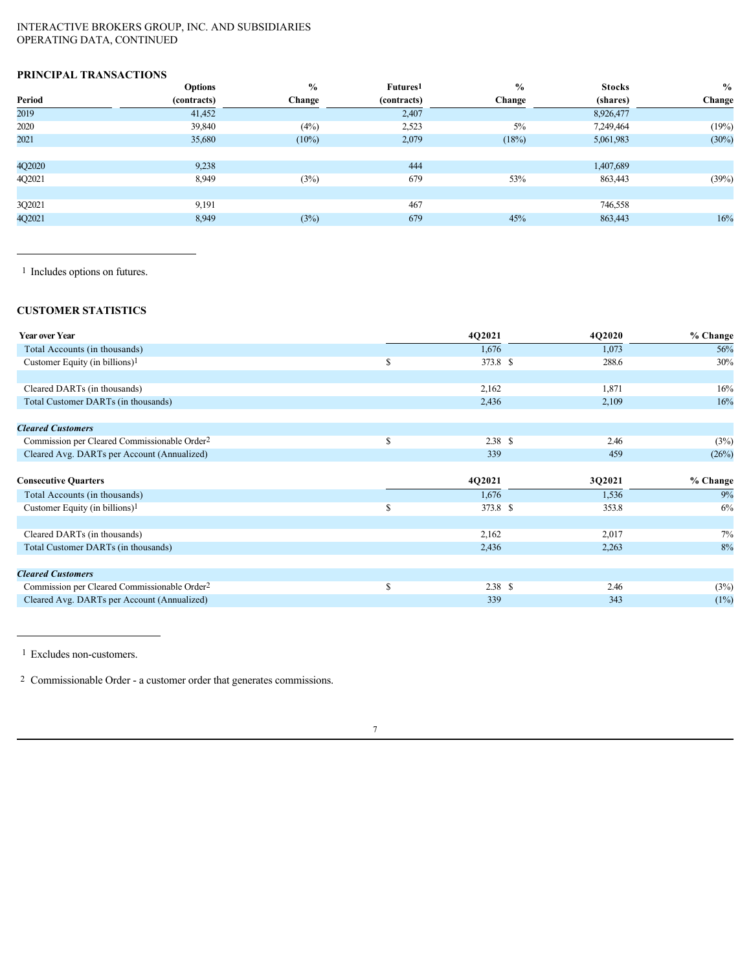# INTERACTIVE BROKERS GROUP, INC. AND SUBSIDIARIES OPERATING DATA, CONTINUED

### **PRINCIPAL TRANSACTIONS**

|        | <b>Options</b> | $\frac{6}{9}$ | Futures <sup>1</sup> | $\frac{0}{0}$ | <b>Stocks</b> | $\frac{1}{2}$ |
|--------|----------------|---------------|----------------------|---------------|---------------|---------------|
| Period | (contracts)    | Change        | (contracts)          | Change        | (shares)      | Change        |
| 2019   | 41,452         |               | 2,407                |               | 8,926,477     |               |
| 2020   | 39,840         | (4%)          | 2,523                | 5%            | 7,249,464     | (19%)         |
| 2021   | 35,680         | $(10\%)$      | 2,079                | (18%)         | 5,061,983     | (30%)         |
|        |                |               |                      |               |               |               |
| 4Q2020 | 9,238          |               | 444                  |               | 1,407,689     |               |
| 4Q2021 | 8,949          | (3%)          | 679                  | 53%           | 863,443       | (39%)         |
|        |                |               |                      |               |               |               |
| 3Q2021 | 9,191          |               | 467                  |               | 746,558       |               |
| 4Q2021 | 8,949          | (3%)          | 679                  | 45%           | 863,443       | 16%           |

1 Includes options on futures.

### **CUSTOMER STATISTICS**

| <b>Year over Year</b>                                    | 4Q2021         | 4Q2020 | % Change |
|----------------------------------------------------------|----------------|--------|----------|
| Total Accounts (in thousands)                            | 1,676          | 1,073  | 56%      |
| Customer Equity (in billions) $1$                        | \$<br>373.8 \$ | 288.6  | 30%      |
|                                                          |                |        |          |
| Cleared DARTs (in thousands)                             | 2,162          | 1,871  | 16%      |
| Total Customer DARTs (in thousands)                      | 2,436          | 2,109  | 16%      |
|                                                          |                |        |          |
| <b>Cleared Customers</b>                                 |                |        |          |
| Commission per Cleared Commissionable Order <sup>2</sup> | \$<br>2.38 S   | 2.46   | (3%)     |
| Cleared Avg. DARTs per Account (Annualized)              | 339            | 459    | (26%)    |
| <b>Consecutive Quarters</b>                              | 4Q2021         | 3Q2021 | % Change |
| Total Accounts (in thousands)                            | 1,676          | 1,536  | 9%       |
| Customer Equity (in billions) <sup>1</sup>               | \$<br>373.8 \$ | 353.8  | 6%       |
|                                                          |                |        |          |
| Cleared DARTs (in thousands)                             | 2,162          | 2,017  | 7%       |
| Total Customer DARTs (in thousands)                      | 2,436          | 2,263  | 8%       |
|                                                          |                |        |          |
| <b>Cleared Customers</b>                                 |                |        |          |
| Commission per Cleared Commissionable Order <sup>2</sup> | \$<br>2.38 S   | 2.46   | (3%)     |
| Cleared Avg. DARTs per Account (Annualized)              | 339            | 343    | (1%)     |

1 Excludes non-customers.

2 Commissionable Order - a customer order that generates commissions.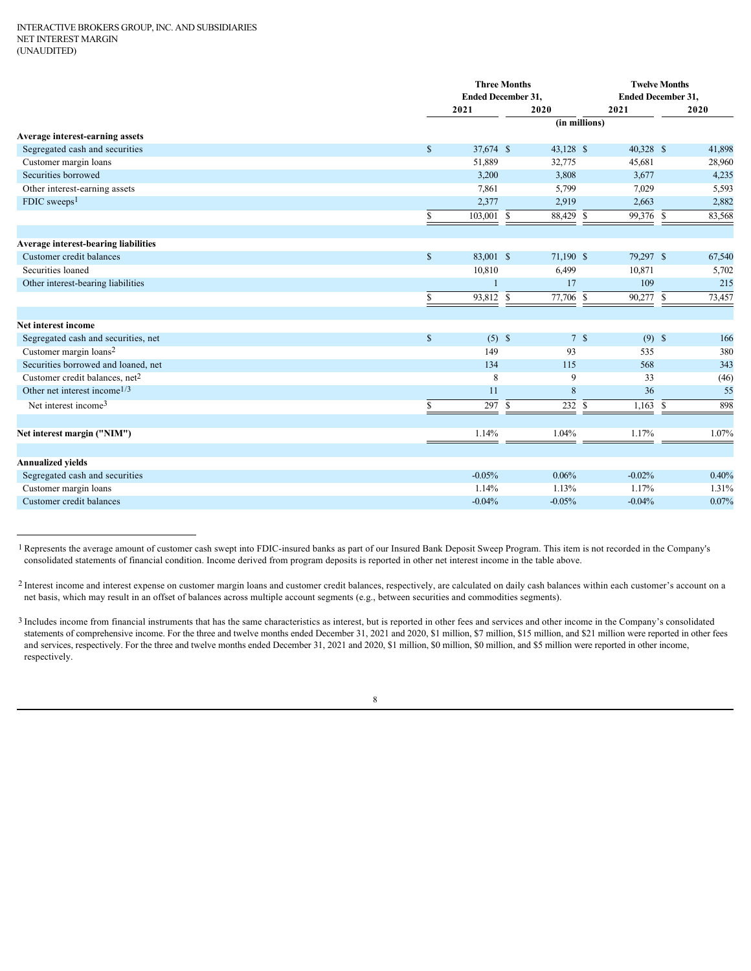|                                                       |               |                           | <b>Three Months</b>    |                           | <b>Twelve Months</b>   |  |  |
|-------------------------------------------------------|---------------|---------------------------|------------------------|---------------------------|------------------------|--|--|
|                                                       |               | <b>Ended December 31,</b> |                        | <b>Ended December 31,</b> |                        |  |  |
|                                                       |               | 2021                      | 2020                   | 2021                      | 2020                   |  |  |
|                                                       |               |                           | (in millions)          |                           |                        |  |  |
| Average interest-earning assets                       |               |                           |                        |                           |                        |  |  |
| Segregated cash and securities                        | $\mathsf{\$}$ | 37,674 \$                 | 43,128 \$              | 40,328 \$                 | 41,898                 |  |  |
| Customer margin loans                                 |               | 51,889                    | 32,775                 | 45,681                    | 28,960                 |  |  |
| Securities borrowed                                   |               | 3,200                     | 3,808                  | 3,677                     | 4,235                  |  |  |
| Other interest-earning assets                         |               | 7,861                     | 5,799                  | 7,029                     | 5,593                  |  |  |
| FDIC sweeps <sup>1</sup>                              |               | 2,377                     | 2,919                  | 2,663                     | 2,882                  |  |  |
|                                                       | \$            | $103,001$ \$              | $88,429$ \$            | 99,376 \$                 | 83,568                 |  |  |
| <b>Average interest-bearing liabilities</b>           |               |                           |                        |                           |                        |  |  |
| Customer credit balances                              | $\mathbb{S}$  | 83,001 \$                 | 71,190 \$              | 79,297 \$                 | 67,540                 |  |  |
| Securities loaned                                     |               | 10,810                    | 6,499                  | 10,871                    | 5,702                  |  |  |
| Other interest-bearing liabilities                    |               |                           | 17                     | 109                       | 215                    |  |  |
|                                                       | ς             | $93,812$ \$               | 77,706                 | 90,277<br>-S              | 73,457<br>$\mathbb{S}$ |  |  |
|                                                       |               |                           |                        |                           |                        |  |  |
| Net interest income                                   |               |                           |                        |                           |                        |  |  |
| Segregated cash and securities, net                   | $\mathsf{\$}$ | $(5)$ \$                  |                        | 7S<br>$(9)$ \$            | 166                    |  |  |
| Customer margin loans <sup>2</sup>                    |               | 149                       | 93                     | 535                       | 380                    |  |  |
| Securities borrowed and loaned, net                   |               | 134                       | 115                    | 568                       | 343                    |  |  |
| Customer credit balances, net <sup>2</sup>            |               | 8                         | 9                      | 33                        | (46)                   |  |  |
| Other net interest income <sup><math>1/3</math></sup> |               | 11                        | 8                      | 36                        | 55                     |  |  |
| Net interest income <sup>3</sup>                      | $\mathbf S$   | 297                       | $\mathbb{S}$<br>232 \$ | 1,163                     | <sup>\$</sup><br>898   |  |  |
| Net interest margin ("NIM")                           |               | 1.14%                     | 1.04%                  | 1.17%                     | 1.07%                  |  |  |
|                                                       |               |                           |                        |                           |                        |  |  |
| <b>Annualized yields</b>                              |               |                           |                        |                           |                        |  |  |
| Segregated cash and securities                        |               | $-0.05%$                  | 0.06%                  | $-0.02%$                  | 0.40%                  |  |  |
| Customer margin loans                                 |               | 1.14%                     | 1.13%                  | 1.17%                     | 1.31%                  |  |  |
| Customer credit balances                              |               | $-0.04%$                  | $-0.05%$               | $-0.04%$                  | 0.07%                  |  |  |

<sup>&</sup>lt;sup>1</sup> Represents the average amount of customer cash swept into FDIC-insured banks as part of our Insured Bank Deposit Sweep Program. This item is not recorded in the Company's consolidated statements of financial condition. Income derived from program deposits is reported in other net interest income in the table above.

<sup>3</sup> Includes income from financial instruments that has the same characteristics as interest, but is reported in other fees and services and other income in the Company's consolidated statements of comprehensive income. For the three and twelve months ended December 31, 2021 and 2020, \$1 million, \$7 million, \$15 million, and \$21 million were reported in other fees and services, respectively. For the three and twelve months ended December 31, 2021 and 2020, \$1 million, \$0 million, \$0 million, and \$5 million were reported in other income, respectively.



<sup>&</sup>lt;sup>2</sup> Interest income and interest expense on customer margin loans and customer credit balances, respectively, are calculated on daily cash balances within each customer's account on a net basis, which may result in an offset of balances across multiple account segments (e.g., between securities and commodities segments).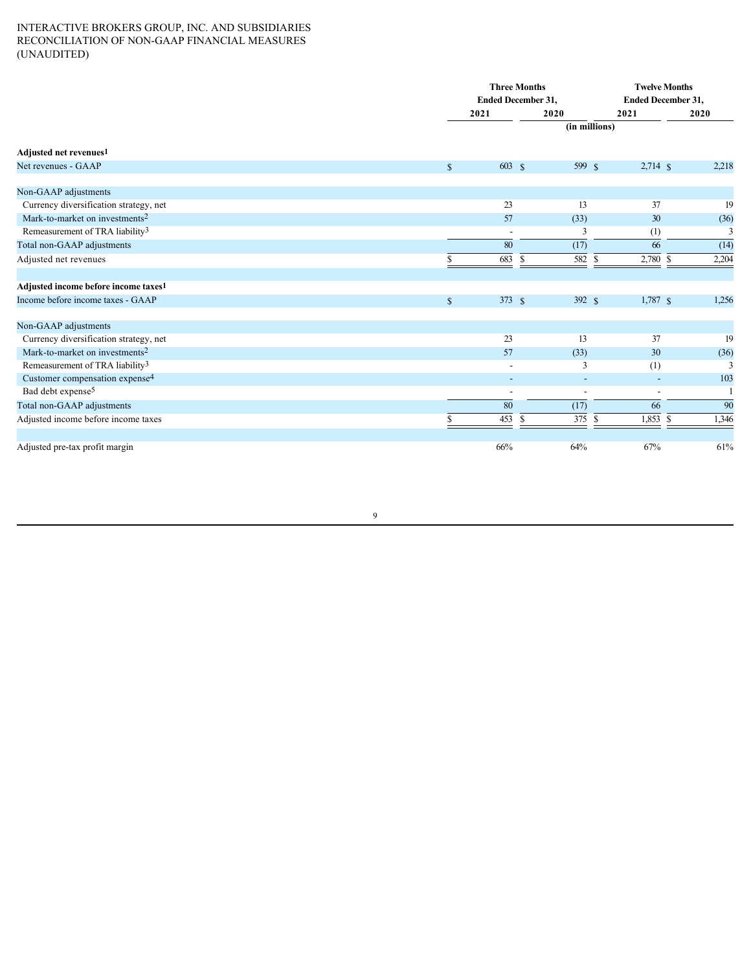### INTERACTIVE BROKERS GROUP, INC. AND SUBSIDIARIES RECONCILIATION OF NON-GAAP FINANCIAL MEASURES (UNAUDITED)

|                                                  |              | <b>Three Months</b><br><b>Ended December 31,</b> |      |                          |                          | <b>Twelve Months</b><br>Ended December 31, |  |  |
|--------------------------------------------------|--------------|--------------------------------------------------|------|--------------------------|--------------------------|--------------------------------------------|--|--|
|                                                  |              | 2021                                             | 2020 | (in millions)            | 2021                     | 2020                                       |  |  |
| Adjusted net revenues1                           |              |                                                  |      |                          |                          |                                            |  |  |
| Net revenues - GAAP                              | $\mathbb{S}$ | 603 \$                                           |      | 599 \$                   | $2,714$ \$               | 2,218                                      |  |  |
| Non-GAAP adjustments                             |              |                                                  |      |                          |                          |                                            |  |  |
| Currency diversification strategy, net           |              | 23                                               |      | 13                       | 37                       | 19                                         |  |  |
| Mark-to-market on investments <sup>2</sup>       |              | 57                                               |      | (33)                     | 30                       | (36)                                       |  |  |
| Remeasurement of TRA liability <sup>3</sup>      |              |                                                  |      | 3                        | (1)                      | 3                                          |  |  |
| Total non-GAAP adjustments                       |              | 80                                               |      | (17)                     | 66                       | (14)                                       |  |  |
| Adjusted net revenues                            |              | 683                                              | S    | 582 \$                   | 2,780 \$                 | 2,204                                      |  |  |
| Adjusted income before income taxes <sup>1</sup> |              |                                                  |      |                          |                          |                                            |  |  |
| Income before income taxes - GAAP                | $\mathbb{S}$ | 373 $\sqrt{s}$                                   |      | 392S                     | $1,787$ \$               | 1,256                                      |  |  |
| Non-GAAP adjustments                             |              |                                                  |      |                          |                          |                                            |  |  |
| Currency diversification strategy, net           |              | 23                                               |      | 13                       | 37                       | 19                                         |  |  |
| Mark-to-market on investments <sup>2</sup>       |              | 57                                               |      | (33)                     | 30                       | (36)                                       |  |  |
| Remeasurement of TRA liability <sup>3</sup>      |              | ٠                                                |      | 3                        | (1)                      | 3                                          |  |  |
| Customer compensation expense <sup>4</sup>       |              | $\overline{\phantom{0}}$                         |      |                          | $\overline{\phantom{a}}$ | 103                                        |  |  |
| Bad debt expense <sup>5</sup>                    |              | ٠                                                |      | $\overline{\phantom{a}}$ | $\overline{\phantom{a}}$ |                                            |  |  |
| Total non-GAAP adjustments                       |              | 80                                               |      | (17)                     | 66                       | 90                                         |  |  |
| Adjusted income before income taxes              |              | 453                                              | S    | 375 \$                   | 1,853 \$                 | 1,346                                      |  |  |
| Adjusted pre-tax profit margin                   |              | 66%                                              |      | 64%                      | 67%                      | 61%                                        |  |  |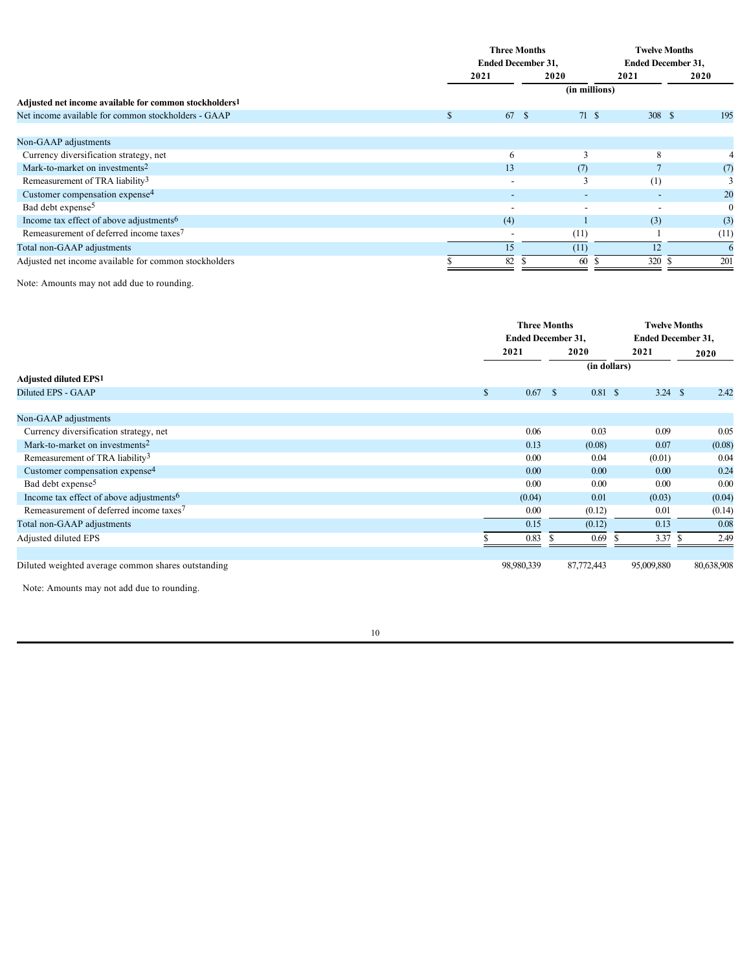|                                                                    |   | <b>Three Months</b><br><b>Ended December 31,</b> |               | <b>Twelve Months</b><br><b>Ended December 31,</b> |              |  |
|--------------------------------------------------------------------|---|--------------------------------------------------|---------------|---------------------------------------------------|--------------|--|
|                                                                    |   | 2021                                             | 2020          | 2021                                              | 2020         |  |
|                                                                    |   |                                                  | (in millions) |                                                   |              |  |
| Adjusted net income available for common stockholders <sup>1</sup> |   |                                                  |               |                                                   |              |  |
| Net income available for common stockholders - GAAP                | S | 67S                                              |               | 71S<br>$308 \quad $$                              | 195          |  |
| Non-GAAP adjustments                                               |   |                                                  |               |                                                   |              |  |
| Currency diversification strategy, net                             |   | 6                                                | $\mathbf{3}$  | 8                                                 |              |  |
| Mark-to-market on investments <sup>2</sup>                         |   | 13                                               | (7)           |                                                   | (7)          |  |
| Remeasurement of TRA liability <sup>3</sup>                        |   | $\overline{\phantom{a}}$                         | $\cdot$       | (1)                                               |              |  |
| Customer compensation expense <sup>4</sup>                         |   |                                                  |               |                                                   | 20           |  |
| Bad debt expense <sup>5</sup>                                      |   | $\overline{\phantom{a}}$                         | ۰             |                                                   | $\mathbf{0}$ |  |
| Income tax effect of above adjustments <sup>6</sup>                |   | (4)                                              |               | (3)                                               | (3)          |  |
| Remeasurement of deferred income taxes <sup>7</sup>                |   |                                                  | (11)          |                                                   | (11)         |  |
| Total non-GAAP adjustments                                         |   | 15                                               | (11)          | 12                                                | $\mathbf b$  |  |
| Adjusted net income available for common stockholders              |   | 82                                               | 60<br>-S      | 320 \$<br>ъ                                       | 201          |  |

Note: Amounts may not add due to rounding.

|                                                     |                      | <b>Three Months</b><br><b>Ended December 31,</b> |                    | <b>Twelve Months</b><br><b>Ended December 31,</b> |  |
|-----------------------------------------------------|----------------------|--------------------------------------------------|--------------------|---------------------------------------------------|--|
|                                                     | 2021                 | 2020                                             | 2021               | 2020                                              |  |
|                                                     |                      | (in dollars)                                     |                    |                                                   |  |
| <b>Adjusted diluted EPS1</b>                        |                      |                                                  |                    |                                                   |  |
| Diluted EPS - GAAP                                  | 0.67<br>$\mathbb{S}$ | - \$                                             | $0.81 \text{ }$ \$ | 3.24 $\sqrt{s}$<br>2.42                           |  |
|                                                     |                      |                                                  |                    |                                                   |  |
| Non-GAAP adjustments                                |                      |                                                  |                    |                                                   |  |
| Currency diversification strategy, net              | 0.06                 | 0.03                                             | 0.09               | 0.05                                              |  |
| Mark-to-market on investments <sup>2</sup>          | 0.13                 | (0.08)                                           | 0.07               | (0.08)                                            |  |
| Remeasurement of TRA liability <sup>3</sup>         | 0.00                 | 0.04                                             | (0.01)             | 0.04                                              |  |
| Customer compensation expense <sup>4</sup>          | 0.00                 | 0.00                                             | $0.00\,$           | 0.24                                              |  |
| Bad debt expense <sup>5</sup>                       | 0.00                 | 0.00                                             | 0.00               | 0.00                                              |  |
| Income tax effect of above adjustments <sup>6</sup> | (0.04)               | 0.01                                             | (0.03)             | (0.04)                                            |  |
| Remeasurement of deferred income taxes <sup>7</sup> | 0.00                 | (0.12)                                           | 0.01               | (0.14)                                            |  |
| Total non-GAAP adjustments                          | 0.15                 | (0.12)                                           | 0.13               | 0.08                                              |  |
| Adjusted diluted EPS                                | 0.83                 | 0.69<br>-8                                       | -S                 | 3.37 S<br>2.49                                    |  |
|                                                     |                      |                                                  |                    |                                                   |  |
| Diluted weighted average common shares outstanding  | 98,980,339           | 87,772,443                                       | 95,009,880         | 80,638,908                                        |  |
| Note: Amounts may not add due to rounding.          |                      |                                                  |                    |                                                   |  |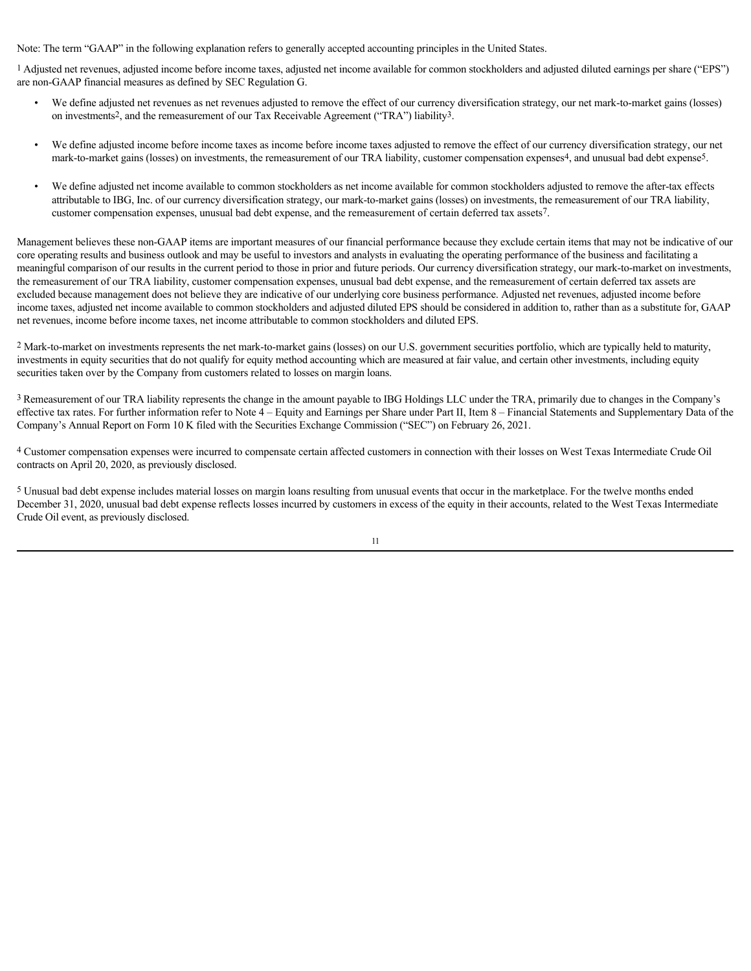Note: The term "GAAP" in the following explanation refers to generally accepted accounting principles in the United States.

<sup>1</sup> Adjusted net revenues, adjusted income before income taxes, adjusted net income available for common stockholders and adjusted diluted earnings per share ("EPS") are non-GAAP financial measures as defined by SEC Regulation G.

- We define adjusted net revenues as net revenues adjusted to remove the effect of our currency diversification strategy, our net mark-to-market gains (losses) on investments2, and the remeasurement of our Tax Receivable Agreement ("TRA") liability3.
- We define adjusted income before income taxes as income before income taxes adjusted to remove the effect of our currency diversification strategy, our net mark-to-market gains (losses) on investments, the remeasurement of our TRA liability, customer compensation expenses<sup>4</sup>, and unusual bad debt expense<sup>5</sup>.
- We define adjusted net income available to common stockholders as net income available for common stockholders adjusted to remove the after-tax effects attributable to IBG, Inc. of our currency diversification strategy, our mark-to-market gains (losses) on investments, the remeasurement of our TRA liability, customer compensation expenses, unusual bad debt expense, and the remeasurement of certain deferred tax assets7.

Management believes these non-GAAP items are important measures of our financial performance because they exclude certain items that may not be indicative of our core operating results and business outlook and may be useful to investors and analysts in evaluating the operating performance of the business and facilitating a meaningful comparison of our results in the current period to those in prior and future periods. Our currency diversification strategy, our mark-to-market on investments, the remeasurement of our TRA liability, customer compensation expenses, unusual bad debt expense, and the remeasurement of certain deferred tax assets are excluded because management does not believe they are indicative of our underlying core business performance. Adjusted net revenues, adjusted income before income taxes, adjusted net income available to common stockholders and adjusted diluted EPS should be considered in addition to, rather than as a substitute for, GAAP net revenues, income before income taxes, net income attributable to common stockholders and diluted EPS.

2 Mark-to-market on investments represents the net mark-to-market gains (losses) on our U.S. government securities portfolio, which are typically held to maturity, investments in equity securities that do not qualify for equity method accounting which are measured at fair value, and certain other investments, including equity securities taken over by the Company from customers related to losses on margin loans.

3 Remeasurement of our TRA liability represents the change in the amount payable to IBG Holdings LLC under the TRA, primarily due to changes in the Company's effective tax rates. For further information refer to Note 4 – Equity and Earnings per Share under Part II, Item 8 – Financial Statements and Supplementary Data of the Company's Annual Report on Form 10 K filed with the Securities Exchange Commission ("SEC") on February 26, 2021.

4 Customer compensation expenses were incurred to compensate certain affected customers in connection with their losses on West Texas Intermediate Crude Oil contracts on April 20, 2020, as previously disclosed.

5 Unusual bad debt expense includes material losses on margin loans resulting from unusual events that occur in the marketplace. For the twelve months ended December 31, 2020, unusual bad debt expense reflects losses incurred by customers in excess of the equity in their accounts, related to the West Texas Intermediate Crude Oil event, as previously disclosed.